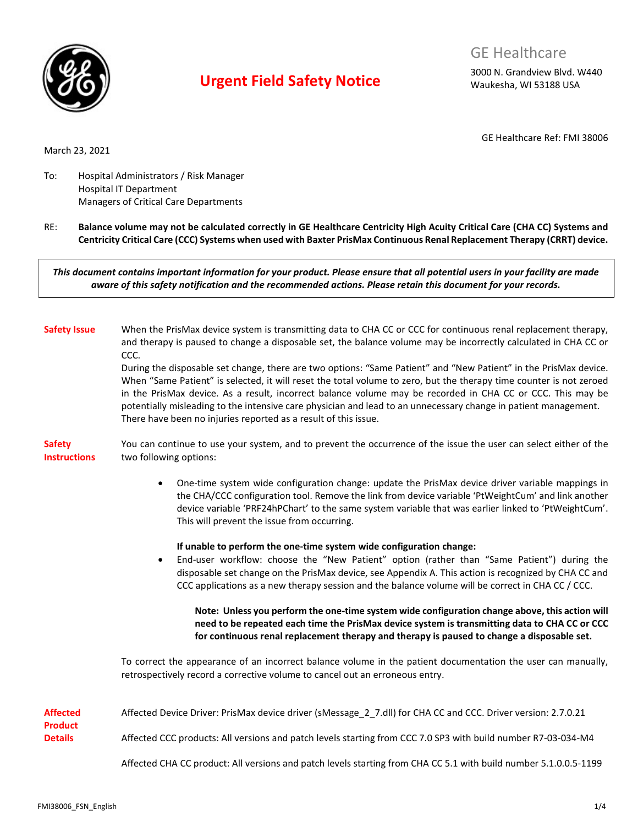

## Urgent Field Safety Notice

GE Healthcare

3000 N. Grandview Blvd. W440 Waukesha, WI 53188 USA

GE Healthcare Ref: FMI 38006

March 23, 2021

To: Hospital Administrators / Risk Manager Hospital IT Department Managers of Critical Care Departments

RE: Balance volume may not be calculated correctly in GE Healthcare Centricity High Acuity Critical Care (CHA CC) Systems and Centricity Critical Care (CCC) Systems when used with Baxter PrisMax Continuous Renal Replacement Therapy (CRRT) device.

This document contains important information for your product. Please ensure that all potential users in your facility are made aware of this safety notification and the recommended actions. Please retain this document for your records.

Safety Issue When the PrisMax device system is transmitting data to CHA CC or CCC for continuous renal replacement therapy, and therapy is paused to change a disposable set, the balance volume may be incorrectly calculated in CHA CC or CCC.

During the disposable set change, there are two options: "Same Patient" and "New Patient" in the PrisMax device. When "Same Patient" is selected, it will reset the total volume to zero, but the therapy time counter is not zeroed in the PrisMax device. As a result, incorrect balance volume may be recorded in CHA CC or CCC. This may be potentially misleading to the intensive care physician and lead to an unnecessary change in patient management. There have been no injuries reported as a result of this issue.

Safety Instructions You can continue to use your system, and to prevent the occurrence of the issue the user can select either of the two following options:

> One-time system wide configuration change: update the PrisMax device driver variable mappings in the CHA/CCC configuration tool. Remove the link from device variable 'PtWeightCum' and link another device variable 'PRF24hPChart' to the same system variable that was earlier linked to 'PtWeightCum'. This will prevent the issue from occurring.

## If unable to perform the one-time system wide configuration change:

 End-user workflow: choose the "New Patient" option (rather than "Same Patient") during the disposable set change on the PrisMax device, see Appendix A. This action is recognized by CHA CC and CCC applications as a new therapy session and the balance volume will be correct in CHA CC / CCC.

Note: Unless you perform the one-time system wide configuration change above, this action will need to be repeated each time the PrisMax device system is transmitting data to CHA CC or CCC for continuous renal replacement therapy and therapy is paused to change a disposable set.

To correct the appearance of an incorrect balance volume in the patient documentation the user can manually, retrospectively record a corrective volume to cancel out an erroneous entry.

Affected **Product Details** Affected Device Driver: PrisMax device driver (sMessage\_2\_7.dll) for CHA CC and CCC. Driver version: 2.7.0.21 Affected CCC products: All versions and patch levels starting from CCC 7.0 SP3 with build number R7-03-034-M4

Affected CHA CC product: All versions and patch levels starting from CHA CC 5.1 with build number 5.1.0.0.5-1199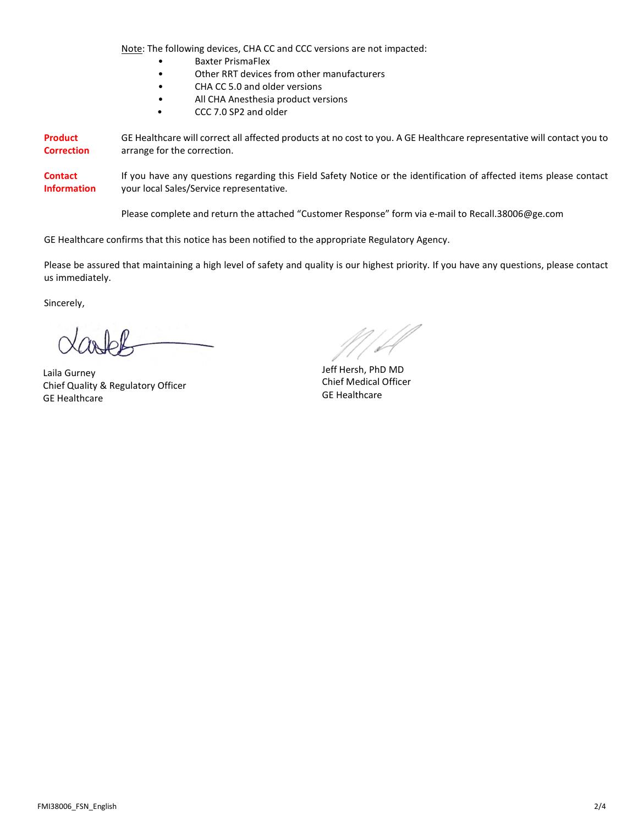Note: The following devices, CHA CC and CCC versions are not impacted:

- Baxter PrismaFlex
- Other RRT devices from other manufacturers
- CHA CC 5.0 and older versions
- All CHA Anesthesia product versions
- CCC 7.0 SP2 and older

Product **Correction** GE Healthcare will correct all affected products at no cost to you. A GE Healthcare representative will contact you to arrange for the correction.

**Contact** Information If you have any questions regarding this Field Safety Notice or the identification of affected items please contact your local Sales/Service representative.

Please complete and return the attached "Customer Response" form via e-mail to Recall.38006@ge.com

GE Healthcare confirms that this notice has been notified to the appropriate Regulatory Agency.

Please be assured that maintaining a high level of safety and quality is our highest priority. If you have any questions, please contact us immediately.

Sincerely,

Laila Gurney Chief Quality & Regulatory Officer GE Healthcare

'//

Jeff Hersh, PhD MD Chief Medical Officer GE Healthcare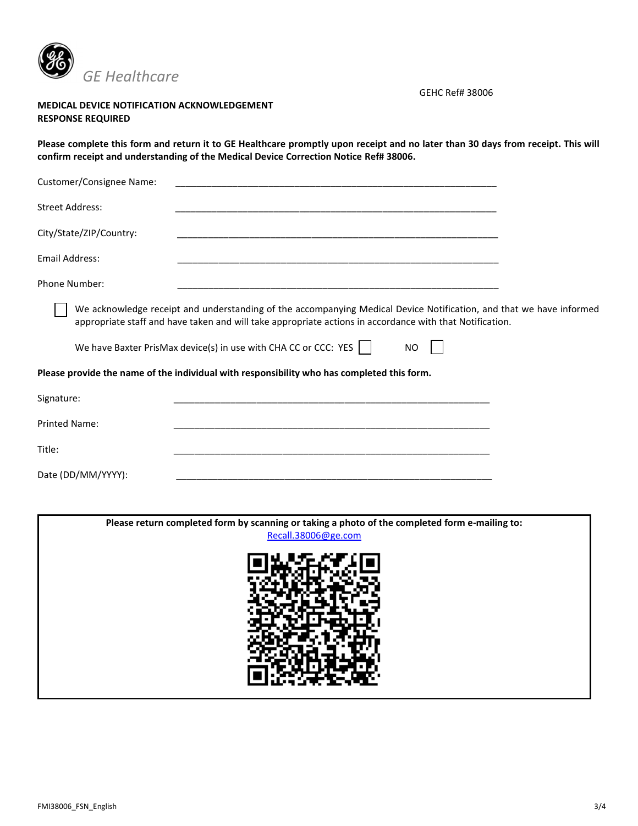

GEHC Ref# 38006

## MEDICAL DEVICE NOTIFICATION ACKNOWLEDGEMENT RESPONSE REQUIRED

Please complete this form and return it to GE Healthcare promptly upon receipt and no later than 30 days from receipt. This will confirm receipt and understanding of the Medical Device Correction Notice Ref# 38006.

| Customer/Consignee Name: |                                                                                                                                                                                                                                                                                                                               |  |
|--------------------------|-------------------------------------------------------------------------------------------------------------------------------------------------------------------------------------------------------------------------------------------------------------------------------------------------------------------------------|--|
| <b>Street Address:</b>   |                                                                                                                                                                                                                                                                                                                               |  |
| City/State/ZIP/Country:  | <u> 1989 - Johann Harry Harry Harry Harry Harry Harry Harry Harry Harry Harry Harry Harry Harry Harry Harry Harry</u>                                                                                                                                                                                                         |  |
| Email Address:           |                                                                                                                                                                                                                                                                                                                               |  |
| Phone Number:            |                                                                                                                                                                                                                                                                                                                               |  |
|                          | We acknowledge receipt and understanding of the accompanying Medical Device Notification, and that we have informed<br>appropriate staff and have taken and will take appropriate actions in accordance with that Notification.<br>We have Baxter PrisMax device(s) in use with CHA CC or CCC: YES $\vert \vert$<br><b>NO</b> |  |
|                          | Please provide the name of the individual with responsibility who has completed this form.                                                                                                                                                                                                                                    |  |
| Signature:               | <u> 1980 - Jan Barnett, fransk politik (d. 1980)</u>                                                                                                                                                                                                                                                                          |  |
| <b>Printed Name:</b>     |                                                                                                                                                                                                                                                                                                                               |  |
| Title:                   |                                                                                                                                                                                                                                                                                                                               |  |
| Date (DD/MM/YYYY):       |                                                                                                                                                                                                                                                                                                                               |  |